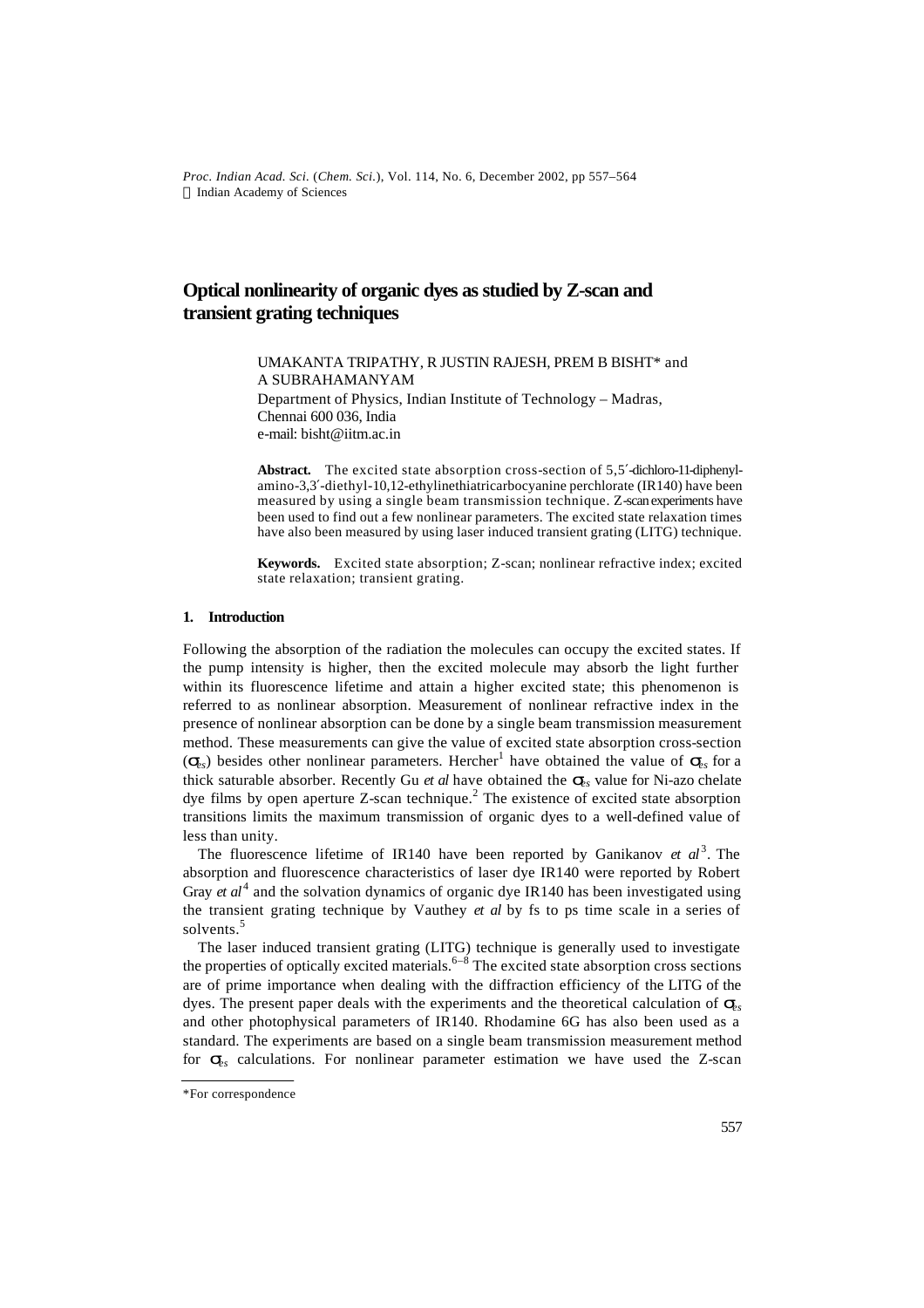*Proc. Indian Acad. Sci.* (*Chem. Sci.*), Vol. 114, No. 6, December 2002, pp 557–564  $©$  Indian Academy of Sciences

# **Optical nonlinearity of organic dyes as studied by Z-scan and transient grating techniques**

UMAKANTA TRIPATHY, R JUSTIN RAJESH, PREM B BISHT\* and A SUBRAHAMANYAM Department of Physics, Indian Institute of Technology – Madras, Chennai 600 036, India e-mail: bisht@iitm.ac.in

**Abstract.** The excited state absorption cross-section of 5,5′-dichloro-11-diphenylamino-3,3′-diethyl-10,12-ethylinethiatricarbocyanine perchlorate (IR140) have been measured by using a single beam transmission technique. Z-scan experiments have been used to find out a few nonlinear parameters. The excited state relaxation times have also been measured by using laser induced transient grating (LITG) technique.

**Keywords.** Excited state absorption; Z-scan; nonlinear refractive index; excited state relaxation; transient grating.

### **1. Introduction**

Following the absorption of the radiation the molecules can occupy the excited states. If the pump intensity is higher, then the excited molecule may absorb the light further within its fluorescence lifetime and attain a higher excited state; this phenomenon is referred to as nonlinear absorption. Measurement of nonlinear refractive index in the presence of nonlinear absorption can be done by a single beam transmission measurement method. These measurements can give the value of excited state absorption cross-section  $(\mathbf{s}_s)$  besides other nonlinear parameters. Hercher<sup>1</sup> have obtained the value of  $\mathbf{s}_s$  for a thick saturable absorber. Recently Gu *et al* have obtained the *ses* value for Ni-azo chelate dye films by open aperture Z-scan technique.<sup>2</sup> The existence of excited state absorption transitions limits the maximum transmission of organic dyes to a well-defined value of less than unity.

The fluorescence lifetime of IR140 have been reported by Ganikanov *et al*<sup>3</sup>. The absorption and fluorescence characteristics of laser dye IR140 were reported by Robert Gray  $et \, al^4$  and the solvation dynamics of organic dye IR140 has been investigated using the transient grating technique by Vauthey *et al* by fs to ps time scale in a series of solvents.<sup>5</sup>

The laser induced transient grating (LITG) technique is generally used to investigate the properties of optically excited materials.  $6-8$  The excited state absorption cross sections are of prime importance when dealing with the diffraction efficiency of the LITG of the dyes. The present paper deals with the experiments and the theoretical calculation of *ses* and other photophysical parameters of IR140. Rhodamine 6G has also been used as a standard. The experiments are based on a single beam transmission measurement method for  $S_{\rm g}$  calculations. For nonlinear parameter estimation we have used the Z-scan

<sup>\*</sup>For correspondence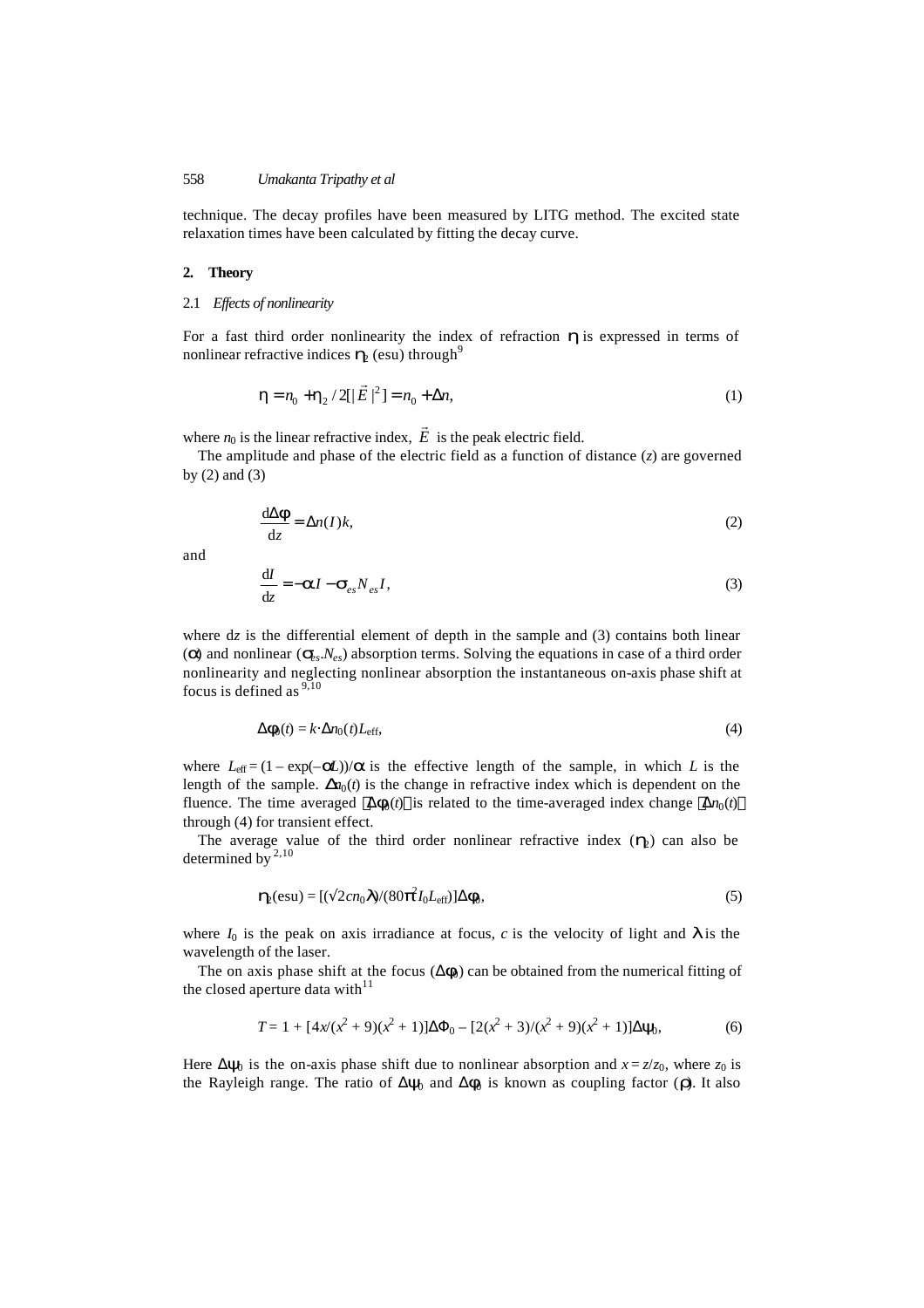technique. The decay profiles have been measured by LITG method. The excited state relaxation times have been calculated by fitting the decay curve.

#### **2. Theory**

2.1 *Effects of nonlinearity*

For a fast third order nonlinearity the index of refraction *h* is expressed in terms of nonlinear refractive indices  $h_2$  (esu) through<sup>9</sup>

$$
\mathbf{h} = n_0 + \mathbf{h}_2 / 2[|\vec{E}|^2] = n_0 + \Delta n,\tag{1}
$$

where  $n_0$  is the linear refractive index,  $E$  $\rightarrow$ is the peak electric field.

The amplitude and phase of the electric field as a function of distance (*z*) are governed by (2) and (3)

$$
\frac{d\Delta \mathbf{f}}{dz} = \Delta n(I)k,\tag{2}
$$

and

$$
\frac{\mathrm{d}I}{\mathrm{d}z} = -aI - \mathbf{S}_{es} N_{es} I,\tag{3}
$$

where dz is the differential element of depth in the sample and (3) contains both linear (a) and nonlinear  $(s_{\rm g},N_{\rm eg})$  absorption terms. Solving the equations in case of a third order nonlinearity and neglecting nonlinear absorption the instantaneous on-axis phase shift at focus is defined as  $9,10$ 

$$
\Delta f_0(t) = k \cdot \Delta n_0(t) L_{\text{eff}},\tag{4}
$$

where  $L_{\text{eff}} = (1 - \exp(-\mathbf{z}))/\mathbf{a}$  is the effective length of the sample, in which *L* is the length of the sample.  $\mathbf{D}_{n}(t)$  is the change in refractive index which is dependent on the fluence. The time averaged  $\langle \Delta f_0(t) \rangle$  is related to the time-averaged index change  $\langle \Delta n_0(t) \rangle$ through (4) for transient effect.

The average value of the third order nonlinear refractive index  $(h<sub>2</sub>)$  can also be determined by  $^{2,10}$ 

$$
\mathbf{h}_{\text{e}}(\text{esu}) = [(\sqrt{2}cn_0\mathbf{I})/(80\hat{\mathbf{p}}d_0L_{\text{eff}})]\Delta\mathbf{f}_0, \tag{5}
$$

where  $I_0$  is the peak on axis irradiance at focus,  $c$  is the velocity of light and  $\bm{I}$  is the wavelength of the laser.

The on axis phase shift at the focus  $(\Delta f_0)$  can be obtained from the numerical fitting of the closed aperture data with $11$ 

$$
T = 1 + [4x(x^{2} + 9)(x^{2} + 1)]\Delta\Phi_{0} - [2(x^{2} + 3)/(x^{2} + 9)(x^{2} + 1)]\Delta\mathbf{y}_{0},
$$
\n(6)

Here  $\Delta$ **y**<sub>0</sub> is the on-axis phase shift due to nonlinear absorption and  $x = z/z_0$ , where  $z_0$  is the Rayleigh range. The ratio of  $\Delta y_0$  and  $\Delta f_0$  is known as coupling factor (*r*). It also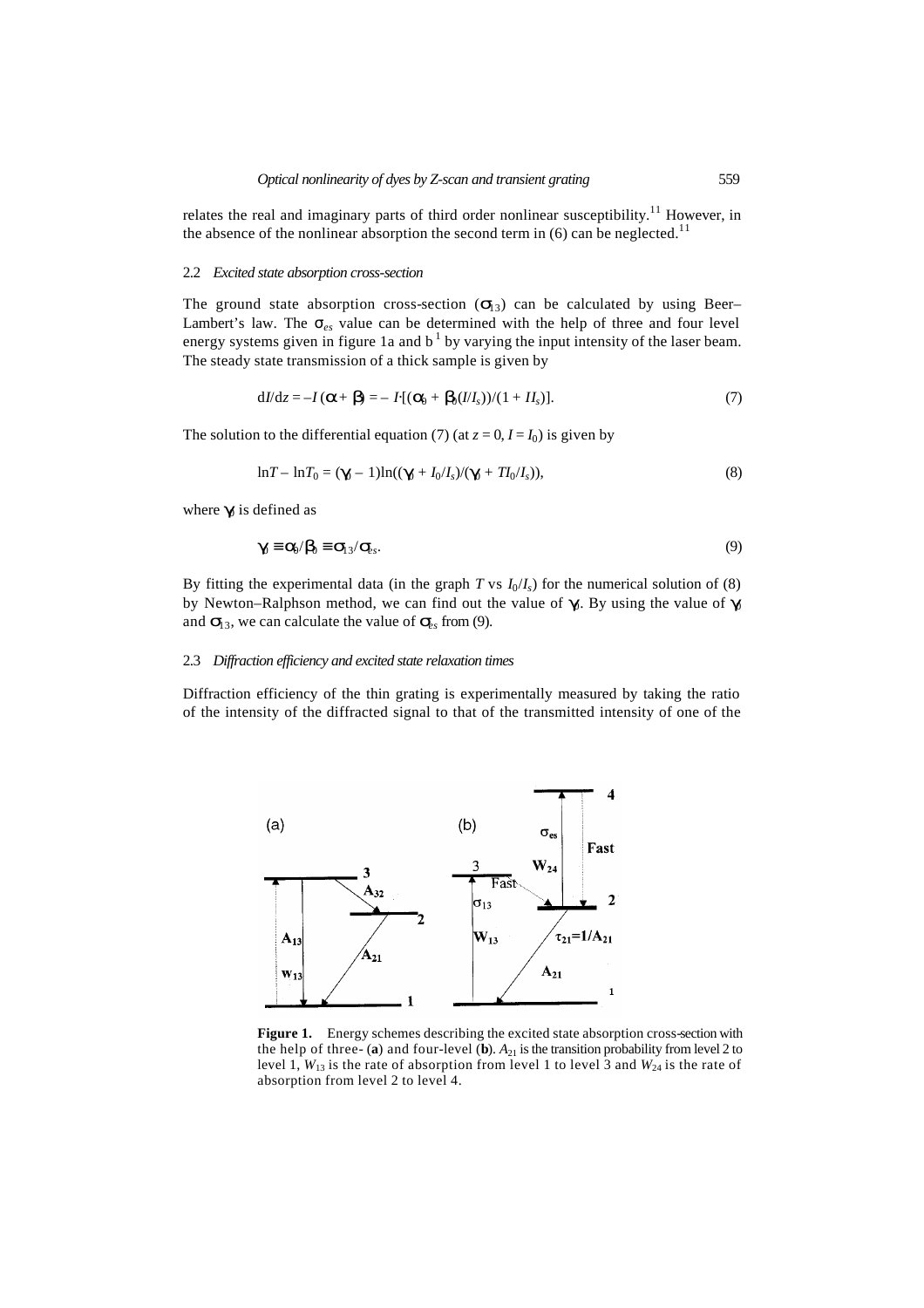relates the real and imaginary parts of third order nonlinear susceptibility.<sup>11</sup> However, in the absence of the nonlinear absorption the second term in  $(6)$  can be neglected.<sup>11</sup>

#### 2.2 *Excited state absorption cross-section*

The ground state absorption cross-section  $(s<sub>13</sub>)$  can be calculated by using Beer– Lambert's law. The σ*es* value can be determined with the help of three and four level energy systems given in figure 1a and  $b<sup>1</sup>$  by varying the input intensity of the laser beam. The steady state transmission of a thick sample is given by

$$
dI/dz = -I(\mathbf{a} + \mathbf{b}) = -I[(\mathbf{a}_0 + \mathbf{b}_0(I/I_s))/(1 + II_s)]. \tag{7}
$$

The solution to the differential equation (7) (at  $z = 0$ ,  $I = I_0$ ) is given by

$$
\ln T - \ln T_0 = (\mathbf{g} - 1)\ln((\mathbf{g} + I_0/I_s)/(\mathbf{g} + T I_0/I_s)),
$$
\n(8)

where  $g$  is defined as

$$
\mathbf{g} \equiv \mathbf{a}/\mathbf{b} \equiv \mathbf{S}_3/\mathbf{S}_s. \tag{9}
$$

By fitting the experimental data (in the graph *T* vs  $I_0/I_s$ ) for the numerical solution of (8) by Newton–Ralphson method, we can find out the value of **g**. By using the value of **g** and  $\mathbf{S}_3$ , we can calculate the value of  $\mathbf{S}_8$  from (9).

### 2.3 *Diffraction efficiency and excited state relaxation times*

Diffraction efficiency of the thin grating is experimentally measured by taking the ratio of the intensity of the diffracted signal to that of the transmitted intensity of one of the



**Figure 1.** Energy schemes describing the excited state absorption cross-section with the help of three- (**a**) and four-level (**b**).  $A_{21}$  is the transition probability from level 2 to level 1,  $W_{13}$  is the rate of absorption from level 1 to level 3 and  $W_{24}$  is the rate of absorption from level 2 to level 4.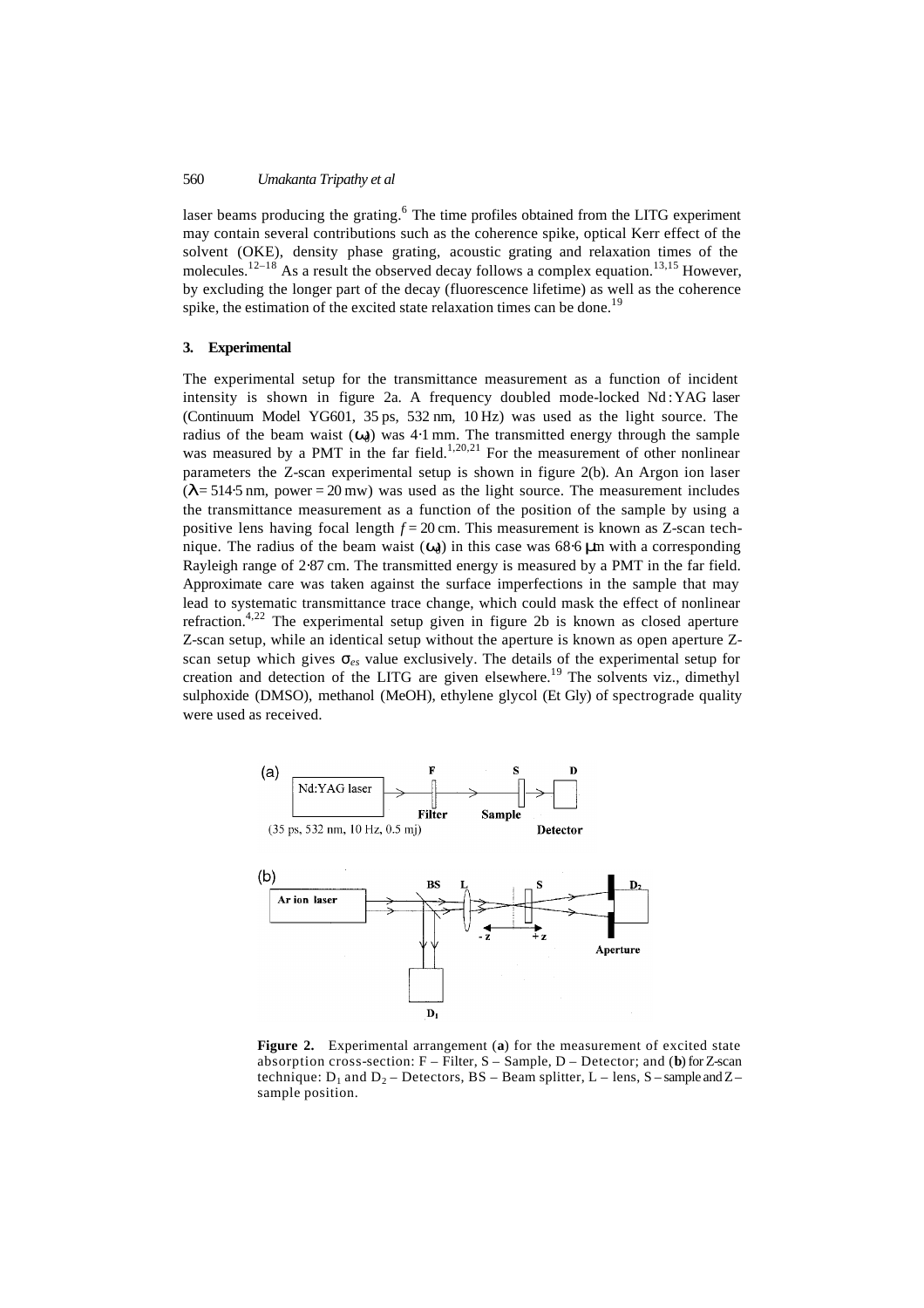laser beams producing the grating.<sup>6</sup> The time profiles obtained from the LITG experiment may contain several contributions such as the coherence spike, optical Kerr effect of the solvent (OKE), density phase grating, acoustic grating and relaxation times of the molecules.<sup>12–18</sup> As a result the observed decay follows a complex equation.<sup>13,15</sup> However, by excluding the longer part of the decay (fluorescence lifetime) as well as the coherence spike, the estimation of the excited state relaxation times can be done.<sup>19</sup>

### **3. Experimental**

The experimental setup for the transmittance measurement as a function of incident intensity is shown in figure 2a. A frequency doubled mode-locked Nd :YAG laser (Continuum Model YG601, 35 ps, 532 nm, 10 Hz) was used as the light source. The radius of the beam waist  $(W_0)$  was 4⋅1 mm. The transmitted energy through the sample was measured by a PMT in the far field.<sup>1,20,21</sup> For the measurement of other nonlinear parameters the Z-scan experimental setup is shown in figure 2(b). An Argon ion laser (*l*= 514⋅5 nm, power = 20 mw) was used as the light source. The measurement includes the transmittance measurement as a function of the position of the sample by using a positive lens having focal length *f =* 20 cm. This measurement is known as Z-scan technique. The radius of the beam waist (*w*0) in this case was 68⋅6 *m*m with a corresponding Rayleigh range of 2⋅87 cm. The transmitted energy is measured by a PMT in the far field. Approximate care was taken against the surface imperfections in the sample that may lead to systematic transmittance trace change, which could mask the effect of nonlinear refraction.<sup>4,22</sup> The experimental setup given in figure 2b is known as closed aperture Z-scan setup, while an identical setup without the aperture is known as open aperture Zscan setup which gives  $\sigma_{es}$  value exclusively. The details of the experimental setup for creation and detection of the LITG are given elsewhere.<sup>19</sup> The solvents viz., dimethyl sulphoxide (DMSO), methanol (MeOH), ethylene glycol (Et Gly) of spectrograde quality were used as received.



**Figure 2.** Experimental arrangement (**a**) for the measurement of excited state absorption cross-section: F – Filter, S – Sample, D – Detector; and (**b**) for Z-scan technique:  $D_1$  and  $D_2$  – Detectors, BS – Beam splitter, L – lens, S – sample and Z – sample position.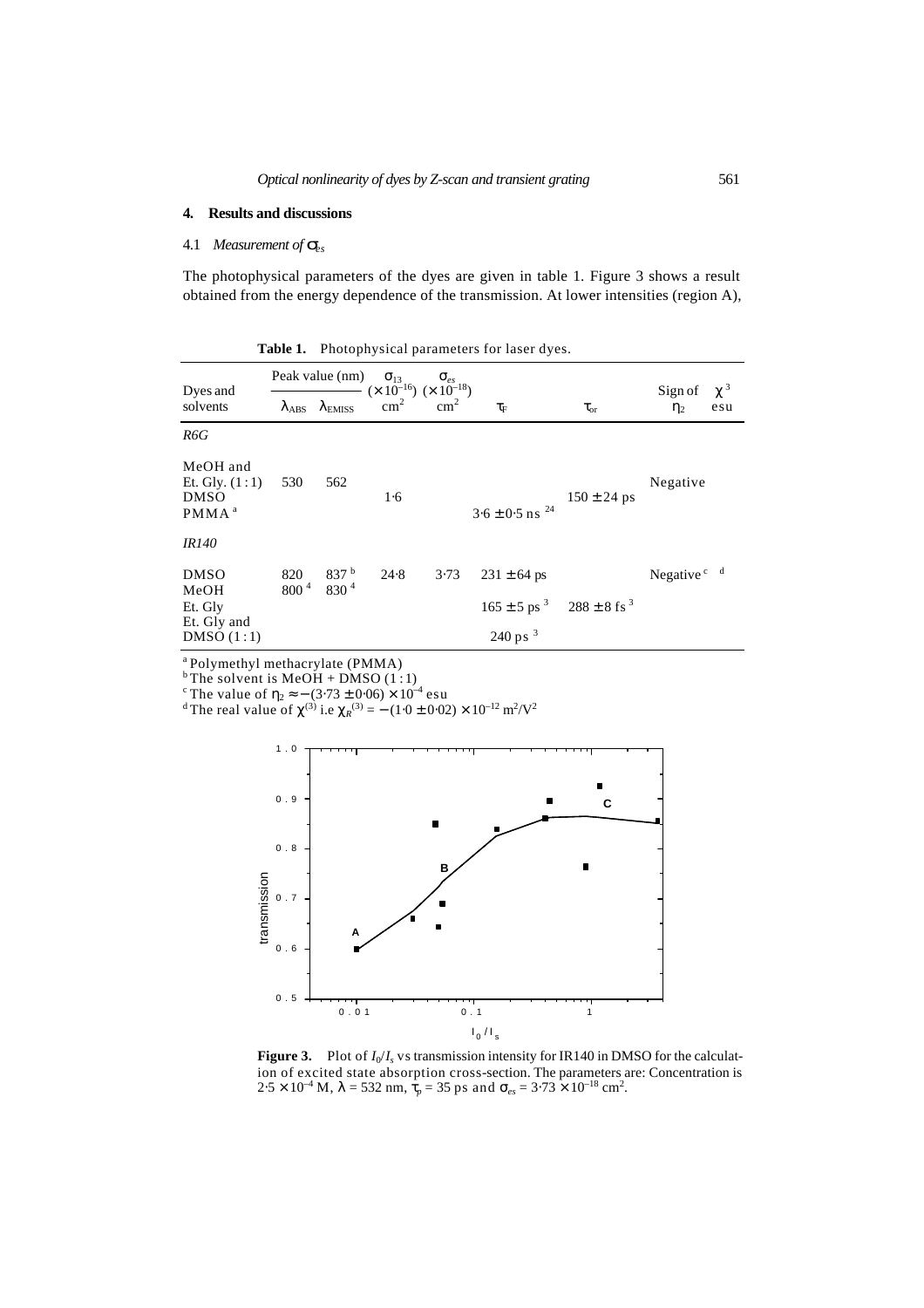### **4. Results and discussions**

# 4.1 *Measurement of ses*

The photophysical parameters of the dyes are given in table 1. Figure 3 shows a result obtained from the energy dependence of the transmission. At lower intensities (region A),

**Table 1.** Photophysical parameters for laser dyes.

|                                                                  | Peak value (nm)         |                                                               | $\mathbf{S}_{13}$<br>$(\times 10^{-16}) (\times 10^{-18})$ | $\mathbf{s}_{es}$ |                                     |                             | $\mathbf{c}^3$                     |
|------------------------------------------------------------------|-------------------------|---------------------------------------------------------------|------------------------------------------------------------|-------------------|-------------------------------------|-----------------------------|------------------------------------|
| Dyes and<br>solvents                                             |                         | $\boldsymbol{I}_{\text{ABS}}$ $\boldsymbol{I}_{\text{EMISS}}$ | $\text{cm}^2$                                              | $\text{cm}^2$     | $t_{\scriptscriptstyle \mathrm{F}}$ | $t_{\rm or}$                | Sign of<br>$\mathbf{h}$<br>esu     |
| R6G                                                              |                         |                                                               |                                                            |                   |                                     |                             |                                    |
| MeOH and<br>Et. Gly. $(1:1)$<br><b>DMSO</b><br>PMMA <sup>a</sup> | 530                     | 562                                                           | 1·6                                                        |                   | $3.6 \pm 0.5$ ns $^{24}$            | $150 \pm 24$ ps             | Negative                           |
| <i>IR140</i>                                                     |                         |                                                               |                                                            |                   |                                     |                             |                                    |
| <b>DMSO</b>                                                      | 820<br>800 <sup>4</sup> | 837 <sup>b</sup><br>830 <sup>4</sup>                          | 24.8                                                       | 3.73              | $231 \pm 64$ ps                     |                             | Negative <sup>c</sup> <sup>d</sup> |
| MeOH<br>Et. Gly                                                  |                         |                                                               |                                                            |                   | $165 \pm 5$ ps <sup>3</sup>         | $288 \pm 8$ fs <sup>3</sup> |                                    |
| Et. Gly and<br>DMSO(1:1)                                         |                         |                                                               |                                                            |                   | $240 \text{ ps}^{-3}$               |                             |                                    |

<sup>a</sup> Polymethyl methacrylate (PMMA)

 $b$  The solvent is MeOH + DMSO (1:1)

<sup>c</sup> The value of  $h_2 \approx - (3.73 \pm 0.06) \times 10^{-4}$  esu

<sup>d</sup> The real value of  $c^{(3)}$  i.e  $c_R^{(3)} = -(1.0 \pm 0.02) \times 10^{-12} \text{ m}^2/\text{V}^2$ 



**Figure 3.** Plot of  $I_0/I_s$  vs transmission intensity for IR140 in DMSO for the calculation of excited state absorption cross-section. The parameters are: Concentration is  $2.5 \times 10^{-4}$  M,  $I = 532$  nm,  $\hat{\mathbf{t}}_p = 35$  ps and  $\mathbf{s}_{es} = 3.73 \times 10^{-18}$  cm<sup>2</sup>.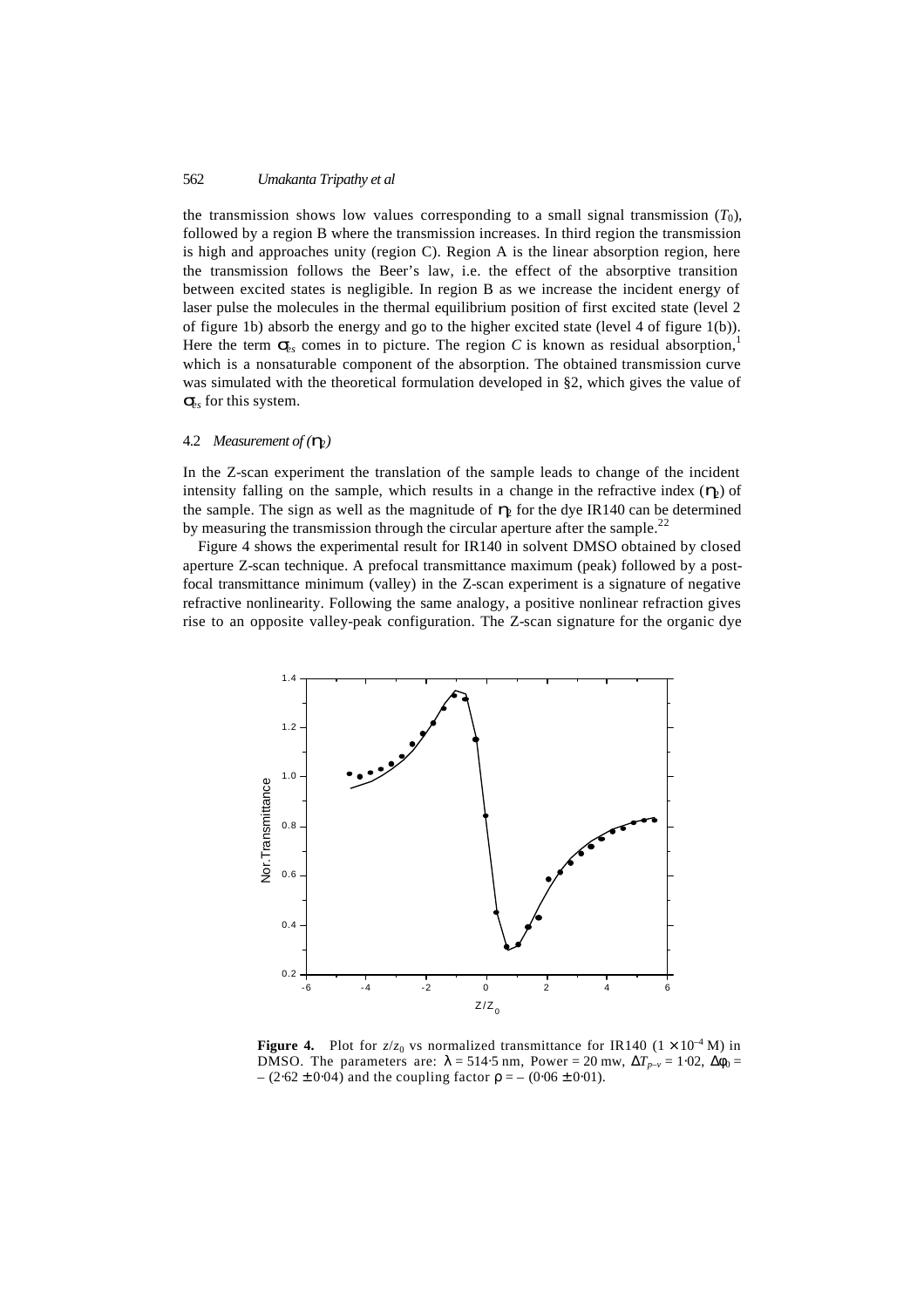the transmission shows low values corresponding to a small signal transmission  $(T_0)$ , followed by a region B where the transmission increases. In third region the transmission is high and approaches unity (region C). Region A is the linear absorption region, here the transmission follows the Beer's law, i.e. the effect of the absorptive transition between excited states is negligible. In region B as we increase the incident energy of laser pulse the molecules in the thermal equilibrium position of first excited state (level 2 of figure 1b) absorb the energy and go to the higher excited state (level 4 of figure 1(b)). Here the term  $s_k$  comes in to picture. The region C is known as residual absorption,<sup>1</sup> which is a nonsaturable component of the absorption. The obtained transmission curve was simulated with the theoretical formulation developed in §2, which gives the value of  $s<sub>s</sub>$  for this system.

### 4.2 *Measurement of (h2)*

In the Z-scan experiment the translation of the sample leads to change of the incident intensity falling on the sample, which results in a change in the refractive index  $(\mathbf{h})$  of the sample. The sign as well as the magnitude of  $h_2$  for the dye IR140 can be determined by measuring the transmission through the circular aperture after the sample.<sup>22</sup>

Figure 4 shows the experimental result for IR140 in solvent DMSO obtained by closed aperture Z-scan technique. A prefocal transmittance maximum (peak) followed by a postfocal transmittance minimum (valley) in the Z-scan experiment is a signature of negative refractive nonlinearity. Following the same analogy, a positive nonlinear refraction gives rise to an opposite valley-peak configuration. The Z-scan signature for the organic dye



**Figure 4.** Plot for  $z/z_0$  vs normalized transmittance for IR140 ( $1 \times 10^{-4}$  M) in DMSO. The parameters are:  $I = 514.5$  nm, Power = 20 mw,  $\Delta T_{p-\nu} = 1.02$ ,  $\Delta F_0 =$ – (2⋅62 ± 0⋅04) and the coupling factor *r* = – (0⋅06 ± 0⋅01).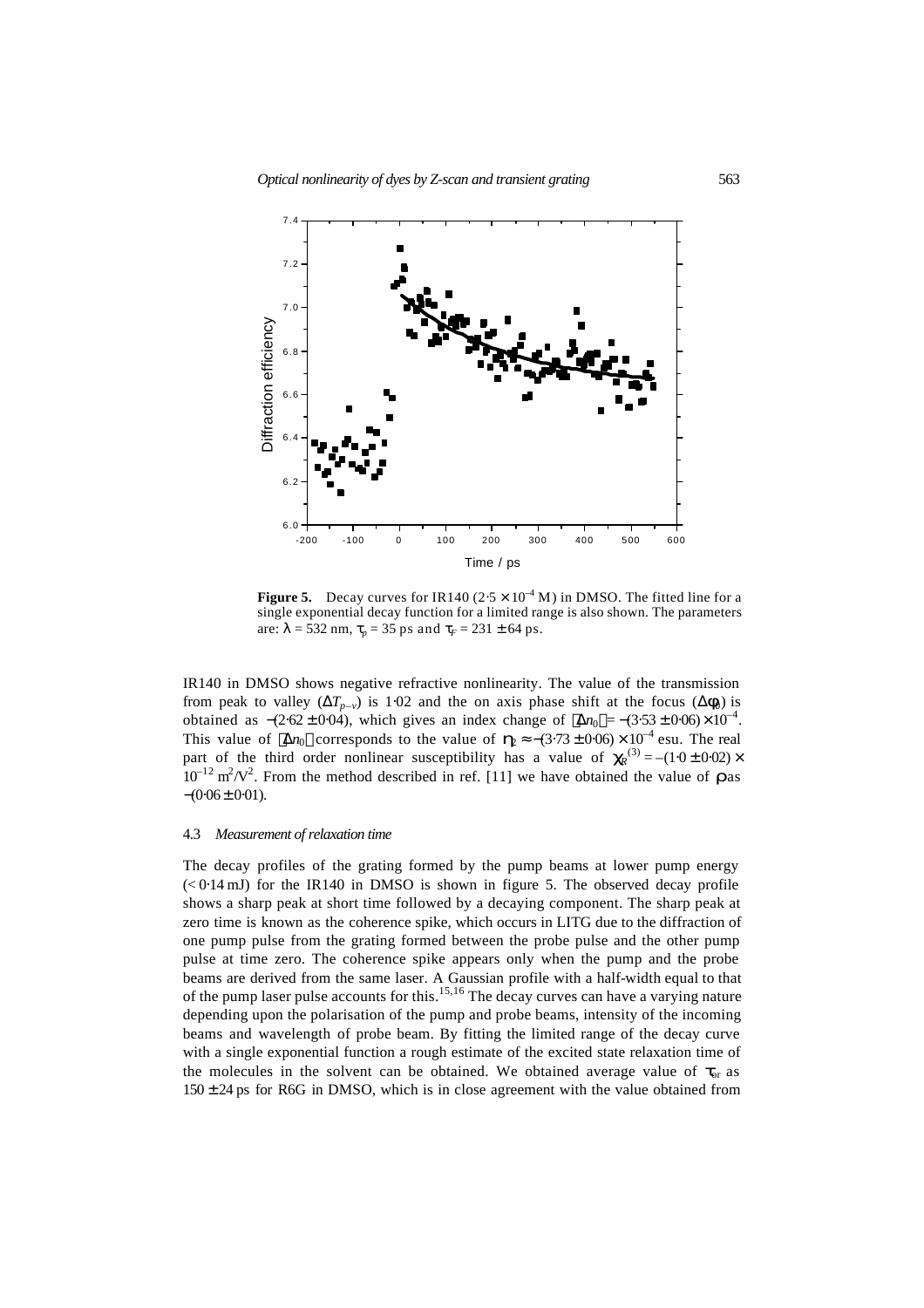

**Figure 5.** Decay curves for IR140 ( $2.5 \times 10^{-4}$  M) in DMSO. The fitted line for a single exponential decay function for a limited range is also shown. The parameters are:  $I = 532$  nm,  $t_p = 35$  ps and  $t_f = 231 \pm 64$  ps.

IR140 in DMSO shows negative refractive nonlinearity. The value of the transmission from peak to valley  $(\Delta T_{p-v})$  is 1⋅02 and the on axis phase shift at the focus  $(\Delta f_0)$  is obtained as  $-(2.62 \pm 0.04)$ , which gives an index change of  $\langle \Delta n_0 \rangle = -(3.53 \pm 0.06) \times 10^{-4}$ . This value of  $\langle \Delta n_0 \rangle$  corresponds to the value of  $\mathbf{h} \approx -(3.73 \pm 0.06) \times 10^{-4}$  esu. The real part of the third order nonlinear susceptibility has a value of  $\mathbf{q}^{(3)} = -(1.0 \pm 0.02) \times$  $10^{-12}$  m<sup>2</sup>/V<sup>2</sup>. From the method described in ref. [11] we have obtained the value of **r** as  $-(0.06 \pm 0.01)$ .

#### 4.3 *Measurement of relaxation time*

The decay profiles of the grating formed by the pump beams at lower pump energy  $( $0.14 \text{ mJ}$ )$  for the IR140 in DMSO is shown in figure 5. The observed decay profile shows a sharp peak at short time followed by a decaying component. The sharp peak at zero time is known as the coherence spike, which occurs in LITG due to the diffraction of one pump pulse from the grating formed between the probe pulse and the other pump pulse at time zero. The coherence spike appears only when the pump and the probe beams are derived from the same laser. A Gaussian profile with a half-width equal to that of the pump laser pulse accounts for this.<sup>15,16</sup> The decay curves can have a varying nature depending upon the polarisation of the pump and probe beams, intensity of the incoming beams and wavelength of probe beam. By fitting the limited range of the decay curve with a single exponential function a rough estimate of the excited state relaxation time of the molecules in the solvent can be obtained. We obtained average value of  $t_{or}$  as  $150 \pm 24$  ps for R6G in DMSO, which is in close agreement with the value obtained from